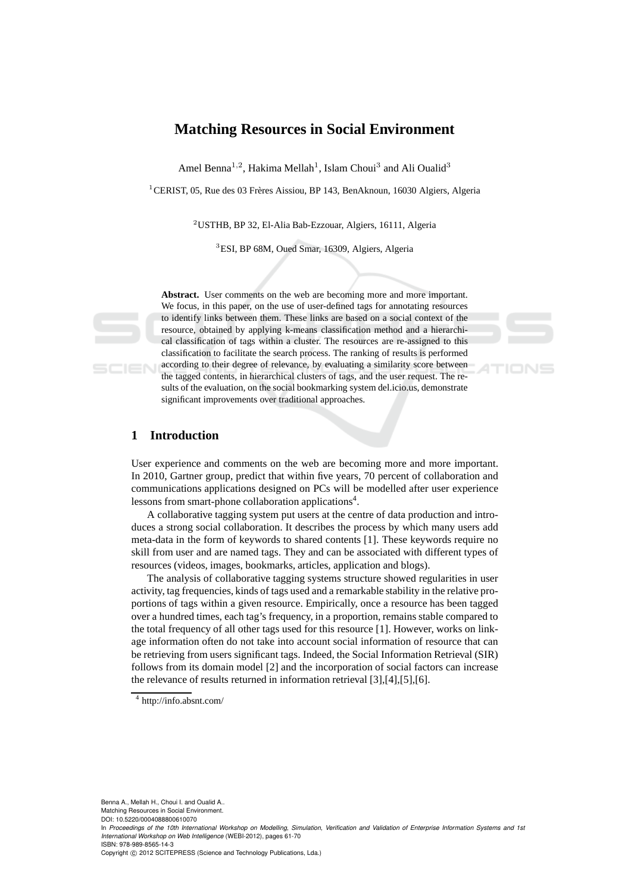# **Matching Resources in Social Environment**

Amel Benna<sup>1,2</sup>, Hakima Mellah<sup>1</sup>, Islam Choui<sup>3</sup> and Ali Oualid<sup>3</sup>

 $1$ CERIST, 05, Rue des 03 Frères Aissiou, BP 143, BenAknoun, 16030 Algiers, Algeria

<sup>2</sup>USTHB, BP 32, El-Alia Bab-Ezzouar, Algiers, 16111, Algeria

<sup>3</sup>ESI, BP 68M, Oued Smar, 16309, Algiers, Algeria

**Abstract.** User comments on the web are becoming more and more important. We focus, in this paper, on the use of user-defined tags for annotating resources to identify links between them. These links are based on a social context of the resource, obtained by applying k-means classification method and a hierarchical classification of tags within a cluster. The resources are re-assigned to this classification to facilitate the search process. The ranking of results is performed according to their degree of relevance, by evaluating a similarity score between the tagged contents, in hierarchical clusters of tags, and the user request. The results of the evaluation, on the social bookmarking system del.icio.us, demonstrate significant improvements over traditional approaches.

# **1 Introduction**

SCIEN

User experience and comments on the web are becoming more and more important. In 2010, Gartner group, predict that within five years, 70 percent of collaboration and communications applications designed on PCs will be modelled after user experience lessons from smart-phone collaboration applications<sup>4</sup>.

A collaborative tagging system put users at the centre of data production and introduces a strong social collaboration. It describes the process by which many users add meta-data in the form of keywords to shared contents [1]. These keywords require no skill from user and are named tags. They and can be associated with different types of resources (videos, images, bookmarks, articles, application and blogs).

The analysis of collaborative tagging systems structure showed regularities in user activity, tag frequencies, kinds of tags used and a remarkable stability in the relative proportions of tags within a given resource. Empirically, once a resource has been tagged over a hundred times, each tag's frequency, in a proportion, remains stable compared to the total frequency of all other tags used for this resource [1]. However, works on linkage information often do not take into account social information of resource that can be retrieving from users significant tags. Indeed, the Social Information Retrieval (SIR) follows from its domain model [2] and the incorporation of social factors can increase the relevance of results returned in information retrieval [3],[4],[5],[6].

<sup>4</sup> http://info.absnt.com/

Benna A., Mellah H., Choui I. and Oualid A..

Matching Resources in Social Environment. DOI: 10.5220/0004088800610070

In *Proceedings of the 10th International Workshop on Modelling, Simulation, Verification and Validation of Enterprise Information Systems and 1st International Workshop on Web Intelligence* (WEBI-2012), pages 61-70 ISBN: 978-989-8565-14-3

Copyright © 2012 SCITEPRESS (Science and Technology Publications, Lda.)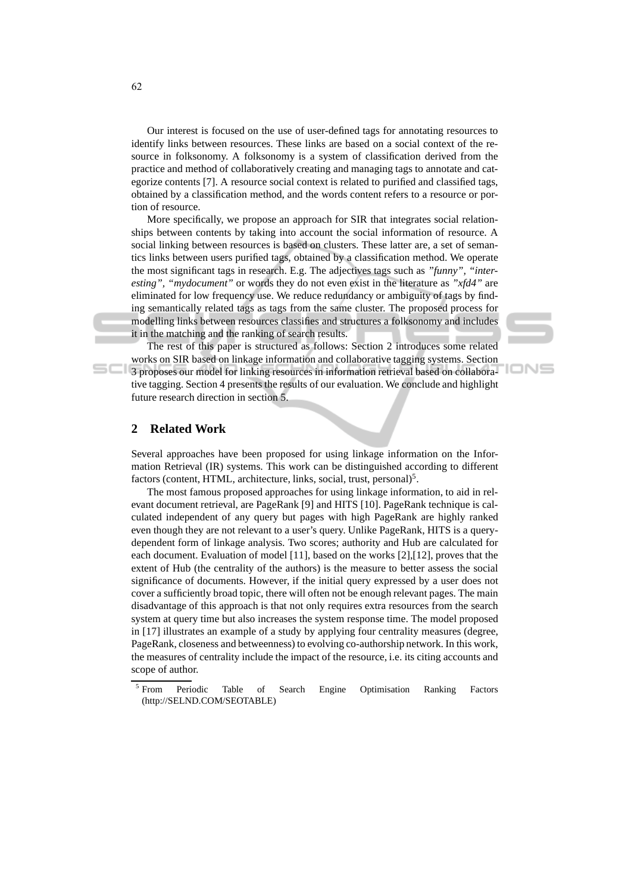Our interest is focused on the use of user-defined tags for annotating resources to identify links between resources. These links are based on a social context of the resource in folksonomy. A folksonomy is a system of classification derived from the practice and method of collaboratively creating and managing tags to annotate and categorize contents [7]. A resource social context is related to purified and classified tags, obtained by a classification method, and the words content refers to a resource or portion of resource.

More specifically, we propose an approach for SIR that integrates social relationships between contents by taking into account the social information of resource. A social linking between resources is based on clusters. These latter are, a set of semantics links between users purified tags, obtained by a classification method. We operate the most significant tags in research. E.g. The adjectives tags such as *"funny", "interesting", "mydocument"* or words they do not even exist in the literature as *"xfd4"* are eliminated for low frequency use. We reduce redundancy or ambiguity of tags by finding semantically related tags as tags from the same cluster. The proposed process for modelling links between resources classifies and structures a folksonomy and includes it in the matching and the ranking of search results.

The rest of this paper is structured as follows: Section 2 introduces some related works on SIR based on linkage information and collaborative tagging systems. Section 3 proposes our model for linking resources in information retrieval based on collaborative tagging. Section 4 presents the results of our evaluation. We conclude and highlight future research direction in section 5.

IONS

### **2 Related Work**

Several approaches have been proposed for using linkage information on the Information Retrieval (IR) systems. This work can be distinguished according to different factors (content, HTML, architecture, links, social, trust, personal)<sup>5</sup>.

The most famous proposed approaches for using linkage information, to aid in relevant document retrieval, are PageRank [9] and HITS [10]. PageRank technique is calculated independent of any query but pages with high PageRank are highly ranked even though they are not relevant to a user's query. Unlike PageRank, HITS is a querydependent form of linkage analysis. Two scores; authority and Hub are calculated for each document. Evaluation of model [11], based on the works [2],[12], proves that the extent of Hub (the centrality of the authors) is the measure to better assess the social significance of documents. However, if the initial query expressed by a user does not cover a sufficiently broad topic, there will often not be enough relevant pages. The main disadvantage of this approach is that not only requires extra resources from the search system at query time but also increases the system response time. The model proposed in [17] illustrates an example of a study by applying four centrality measures (degree, PageRank, closeness and betweenness) to evolving co-authorship network. In this work, the measures of centrality include the impact of the resource, i.e. its citing accounts and scope of author.

<sup>5</sup> From Periodic Table of Search Engine Optimisation Ranking Factors (http://SELND.COM/SEOTABLE)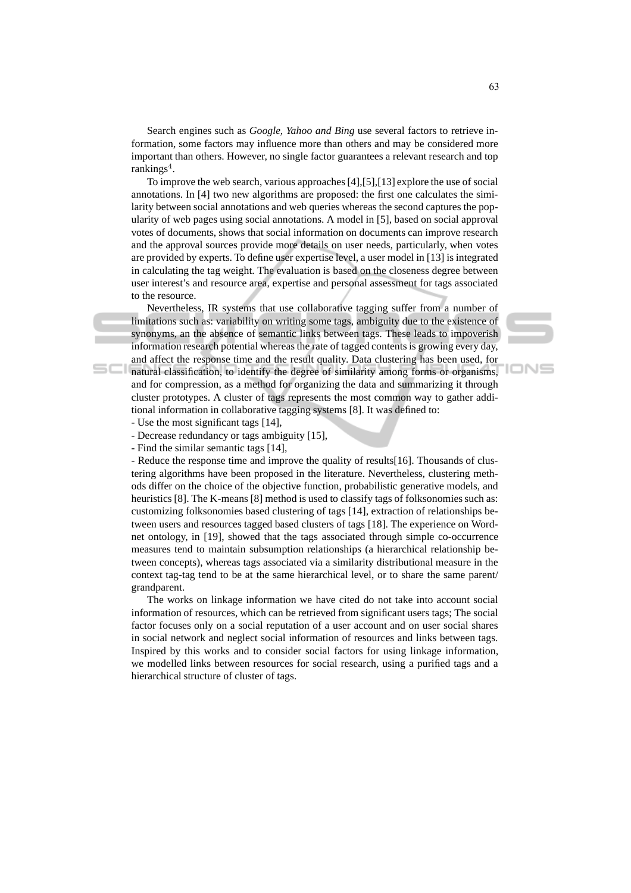Search engines such as *Google, Yahoo and Bing* use several factors to retrieve information, some factors may influence more than others and may be considered more important than others. However, no single factor guarantees a relevant research and top  $rankings<sup>4</sup>$ .

To improve the web search, various approaches [4],[5],[13] explore the use of social annotations. In [4] two new algorithms are proposed: the first one calculates the similarity between social annotations and web queries whereas the second captures the popularity of web pages using social annotations. A model in [5], based on social approval votes of documents, shows that social information on documents can improve research and the approval sources provide more details on user needs, particularly, when votes are provided by experts. To define user expertise level, a user model in [13] is integrated in calculating the tag weight. The evaluation is based on the closeness degree between user interest's and resource area, expertise and personal assessment for tags associated to the resource.

Nevertheless, IR systems that use collaborative tagging suffer from a number of limitations such as: variability on writing some tags, ambiguity due to the existence of synonyms, an the absence of semantic links between tags. These leads to impoverish information research potential whereas the rate of tagged contents is growing every day, and affect the response time and the result quality. Data clustering has been used, for natural classification, to identify the degree of similarity among forms or organisms, and for compression, as a method for organizing the data and summarizing it through cluster prototypes. A cluster of tags represents the most common way to gather addi-

tional information in collaborative tagging systems [8]. It was defined to:



- Use the most significant tags [14],

 $SCI$ 

- Decrease redundancy or tags ambiguity [15],

- Find the similar semantic tags [14],

- Reduce the response time and improve the quality of results[16]. Thousands of clustering algorithms have been proposed in the literature. Nevertheless, clustering methods differ on the choice of the objective function, probabilistic generative models, and heuristics [8]. The K-means [8] method is used to classify tags of folksonomies such as: customizing folksonomies based clustering of tags [14], extraction of relationships between users and resources tagged based clusters of tags [18]. The experience on Wordnet ontology, in [19], showed that the tags associated through simple co-occurrence measures tend to maintain subsumption relationships (a hierarchical relationship between concepts), whereas tags associated via a similarity distributional measure in the context tag-tag tend to be at the same hierarchical level, or to share the same parent/ grandparent.

The works on linkage information we have cited do not take into account social information of resources, which can be retrieved from significant users tags; The social factor focuses only on a social reputation of a user account and on user social shares in social network and neglect social information of resources and links between tags. Inspired by this works and to consider social factors for using linkage information, we modelled links between resources for social research, using a purified tags and a hierarchical structure of cluster of tags.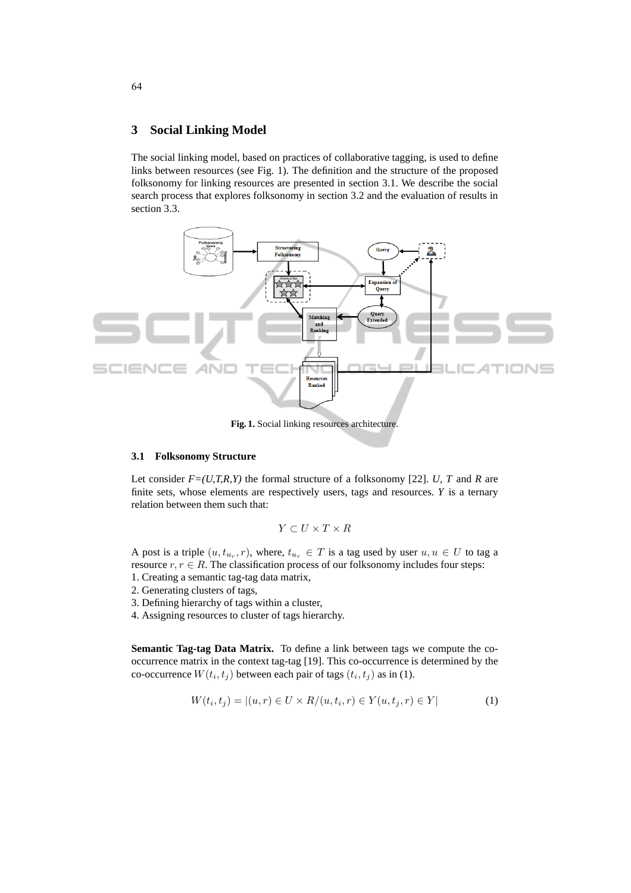#### **3 Social Linking Model**

The social linking model, based on practices of collaborative tagging, is used to define links between resources (see Fig. 1). The definition and the structure of the proposed folksonomy for linking resources are presented in section 3.1. We describe the social search process that explores folksonomy in section 3.2 and the evaluation of results in section 3.3.



**Fig. 1.** Social linking resources architecture.

#### **3.1 Folksonomy Structure**

Let consider  $F=(U,T,R,Y)$  the formal structure of a folksonomy [22]. *U*, *T* and *R* are finite sets, whose elements are respectively users, tags and resources. *Y* is a ternary relation between them such that:

$$
Y \subset U \times T \times R
$$

A post is a triple  $(u, t_{u_r}, r)$ , where,  $t_{u_r} \in T$  is a tag used by user  $u, u \in U$  to tag a resource  $r, r \in R$ . The classification process of our folksonomy includes four steps:

- 1. Creating a semantic tag-tag data matrix,
- 2. Generating clusters of tags,
- 3. Defining hierarchy of tags within a cluster,
- 4. Assigning resources to cluster of tags hierarchy.

**Semantic Tag-tag Data Matrix.** To define a link between tags we compute the cooccurrence matrix in the context tag-tag [19]. This co-occurrence is determined by the co-occurrence  $W(t_i, t_j)$  between each pair of tags  $(t_i, t_j)$  as in (1).

$$
W(t_i, t_j) = |(u, r) \in U \times R/(u, t_i, r) \in Y(u, t_j, r) \in Y|
$$
 (1)

64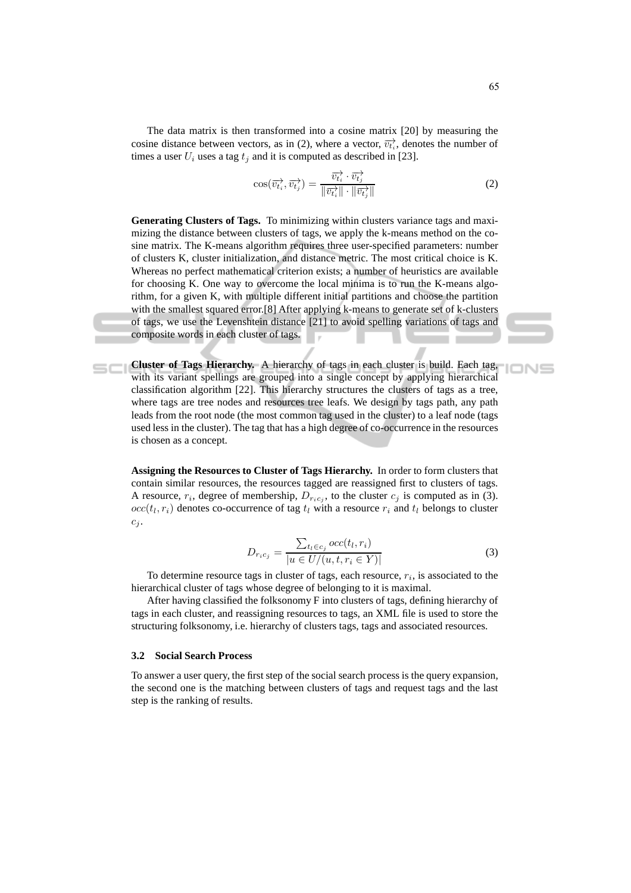The data matrix is then transformed into a cosine matrix [20] by measuring the cosine distance between vectors, as in (2), where a vector,  $\overrightarrow{v_{t,i}}$ , denotes the number of times a user  $U_i$  uses a tag  $t_j$  and it is computed as described in [23].

$$
\cos(\overrightarrow{v_{t_i}}, \overrightarrow{v_{t_j}}) = \frac{\overrightarrow{v_{t_i}} \cdot \overrightarrow{v_{t_j}}}{\|\overrightarrow{v_{t_i}}\| \cdot \|\overrightarrow{v_{t_j}}\|}
$$
(2)

**Generating Clusters of Tags.** To minimizing within clusters variance tags and maximizing the distance between clusters of tags, we apply the k-means method on the cosine matrix. The K-means algorithm requires three user-specified parameters: number of clusters K, cluster initialization, and distance metric. The most critical choice is K. Whereas no perfect mathematical criterion exists; a number of heuristics are available for choosing K. One way to overcome the local minima is to run the K-means algorithm, for a given K, with multiple different initial partitions and choose the partition with the smallest squared error.[8] After applying k-means to generate set of k-clusters of tags, we use the Levenshtein distance [21] to avoid spelling variations of tags and composite words in each cluster of tags.

**Cluster of Tags Hierarchy.** A hierarchy of tags in each cluster is build. Each tag, with its variant spellings are grouped into a single concept by applying hierarchical classification algorithm [22]. This hierarchy structures the clusters of tags as a tree, where tags are tree nodes and resources tree leafs. We design by tags path, any path leads from the root node (the most common tag used in the cluster) to a leaf node (tags used less in the cluster). The tag that has a high degree of co-occurrence in the resources is chosen as a concept.

**Assigning the Resources to Cluster of Tags Hierarchy.** In order to form clusters that contain similar resources, the resources tagged are reassigned first to clusters of tags. A resource,  $r_i$ , degree of membership,  $D_{r_i c_j}$ , to the cluster  $c_j$  is computed as in (3).  $occ(t_l, r_i)$  denotes co-occurrence of tag  $t_l$  with a resource  $r_i$  and  $t_l$  belongs to cluster  $c_j$ .

$$
D_{r_i c_j} = \frac{\sum_{t_l \in c_j} occ(t_l, r_i)}{|u \in U/(u, t, r_i \in Y)|}
$$
(3)

To determine resource tags in cluster of tags, each resource,  $r_i$ , is associated to the hierarchical cluster of tags whose degree of belonging to it is maximal.

After having classified the folksonomy F into clusters of tags, defining hierarchy of tags in each cluster, and reassigning resources to tags, an XML file is used to store the structuring folksonomy, i.e. hierarchy of clusters tags, tags and associated resources.

#### **3.2 Social Search Process**

To answer a user query, the first step of the social search process is the query expansion, the second one is the matching between clusters of tags and request tags and the last step is the ranking of results.

**IONS**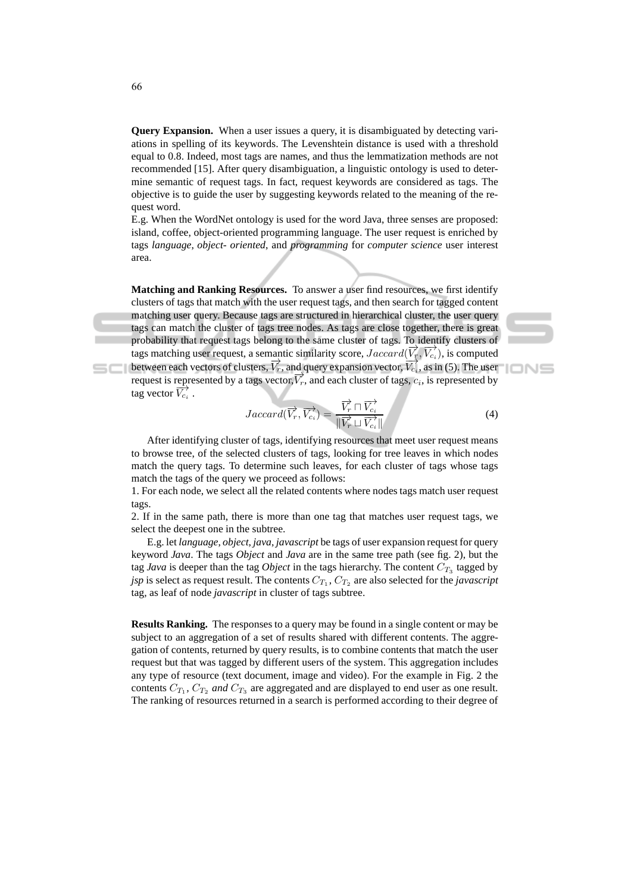**Query Expansion.** When a user issues a query, it is disambiguated by detecting variations in spelling of its keywords. The Levenshtein distance is used with a threshold equal to 0.8. Indeed, most tags are names, and thus the lemmatization methods are not recommended [15]. After query disambiguation, a linguistic ontology is used to determine semantic of request tags. In fact, request keywords are considered as tags. The objective is to guide the user by suggesting keywords related to the meaning of the request word.

E.g. When the WordNet ontology is used for the word Java, three senses are proposed: island, coffee, object-oriented programming language. The user request is enriched by tags *language*, *object- oriented*, and *programming* for *computer science* user interest area.

**Matching and Ranking Resources.** To answer a user find resources, we first identify clusters of tags that match with the user request tags, and then search for tagged content matching user query. Because tags are structured in hierarchical cluster, the user query tags can match the cluster of tags tree nodes. As tags are close together, there is great probability that request tags belong to the same cluster of tags. To identify clusters of tags matching user request, a semantic similarity score,  $Jaccard(\vec{V_r}, \vec{V_{ci}})$ , is computed between each vectors of clusters,  $\overrightarrow{V_r}$ , and query expansion vector,  $\overrightarrow{V_{c_i}}$ , as in (5). The user request is represented by a tags vector,  $\overrightarrow{V_r}$ , and each cluster of tags,  $c_i$ , is represented by tag vector  $\overrightarrow{V_{c_i}}$ .

$$
Jaccard(\overrightarrow{V_r}, \overrightarrow{V_{c_i}}) = \frac{\overrightarrow{V_r} \cap \overrightarrow{V_{c_i}}}{\|\overrightarrow{V_r} \sqcup \overrightarrow{V_{c_i}}\|}
$$
(4)

After identifying cluster of tags, identifying resources that meet user request means to browse tree, of the selected clusters of tags, looking for tree leaves in which nodes match the query tags. To determine such leaves, for each cluster of tags whose tags match the tags of the query we proceed as follows:

1. For each node, we select all the related contents where nodes tags match user request tags.

2. If in the same path, there is more than one tag that matches user request tags, we select the deepest one in the subtree.

E.g. let *language*, *object*, *java*, *javascript* be tags of user expansion request for query keyword *Java*. The tags *Object* and *Java* are in the same tree path (see fig. 2), but the tag *Java* is deeper than the tag *Object* in the tags hierarchy. The content  $C_{T_3}$  tagged by *jsp* is select as request result. The contents  $C_{T_1}$ ,  $C_{T_2}$  are also selected for the *javascript* tag, as leaf of node *javascript* in cluster of tags subtree.

**Results Ranking.** The responses to a query may be found in a single content or may be subject to an aggregation of a set of results shared with different contents. The aggregation of contents, returned by query results, is to combine contents that match the user request but that was tagged by different users of the system. This aggregation includes any type of resource (text document, image and video). For the example in Fig. 2 the contents  $C_{T_1}$ ,  $C_{T_2}$  *and*  $C_{T_3}$  are aggregated and are displayed to end user as one result. The ranking of resources returned in a search is performed according to their degree of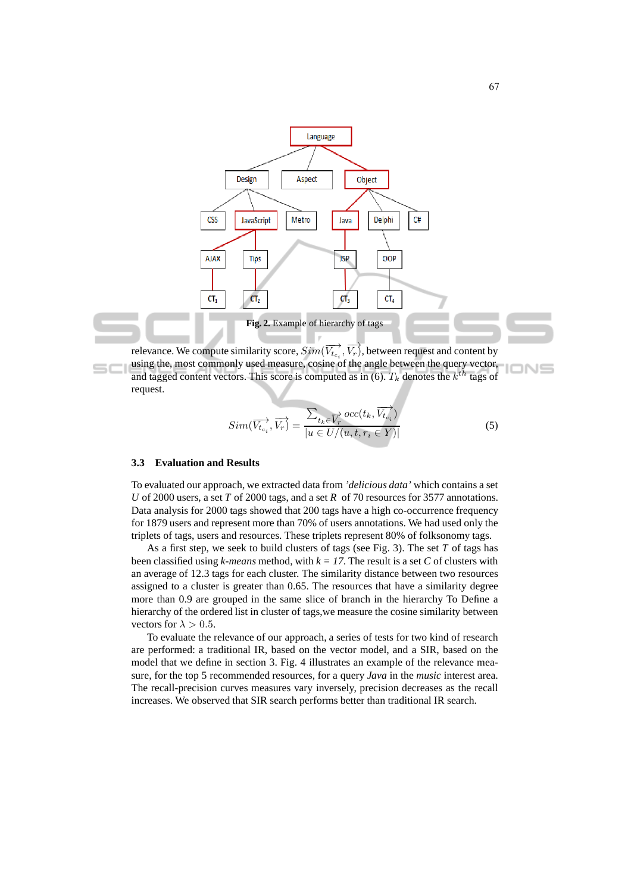

using the, most commonly used measure, cosine of the angle between the query vector, and tagged content vectors. This score is computed as in (6).  $T_k$  denotes the  $k^{th}$  tags of request.

$$
Sim(\overrightarrow{V_{t_{c_i}}}, \overrightarrow{V_r}) = \frac{\sum_{t_k \in \overrightarrow{V_r}} occ(t_k, \overrightarrow{V_{t_{c_i}}})}{|u \in U/(u, t, r_i \in Y)|}
$$
(5)

#### **3.3 Evaluation and Results**

To evaluated our approach, we extracted data from *'delicious data'* which contains a set *U* of 2000 users, a set *T* of 2000 tags, and a set *R* of 70 resources for 3577 annotations. Data analysis for 2000 tags showed that 200 tags have a high co-occurrence frequency for 1879 users and represent more than 70% of users annotations. We had used only the triplets of tags, users and resources. These triplets represent 80% of folksonomy tags.

As a first step, we seek to build clusters of tags (see Fig. 3). The set *T* of tags has been classified using *k-means* method, with  $k = 17$ . The result is a set *C* of clusters with an average of 12.3 tags for each cluster. The similarity distance between two resources assigned to a cluster is greater than 0.65. The resources that have a similarity degree more than 0.9 are grouped in the same slice of branch in the hierarchy To Define a hierarchy of the ordered list in cluster of tags,we measure the cosine similarity between vectors for  $\lambda > 0.5$ .

To evaluate the relevance of our approach, a series of tests for two kind of research are performed: a traditional IR, based on the vector model, and a SIR, based on the model that we define in section 3. Fig. 4 illustrates an example of the relevance measure, for the top 5 recommended resources, for a query *Java* in the *music* interest area. The recall-precision curves measures vary inversely, precision decreases as the recall increases. We observed that SIR search performs better than traditional IR search.

**IONS**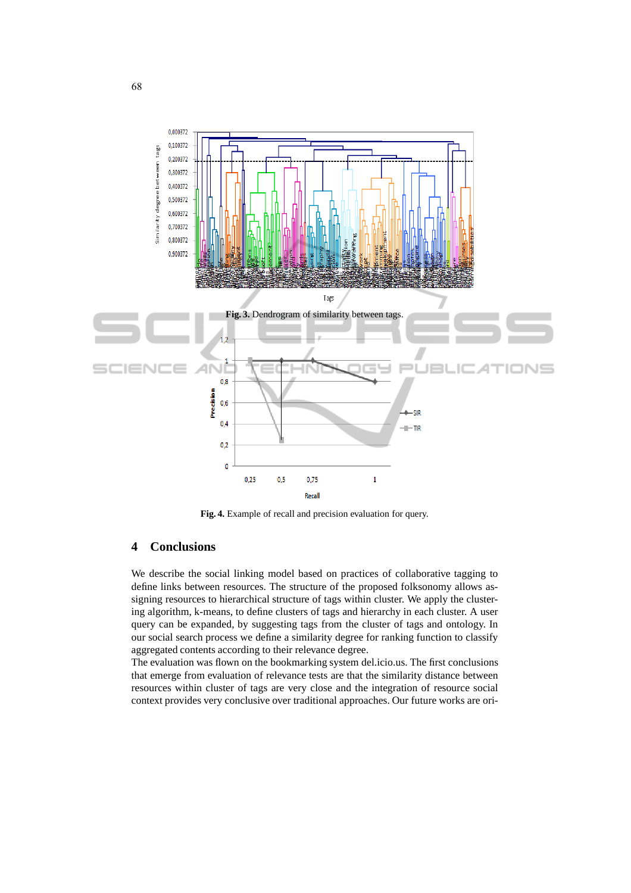

**Fig. 4.** Example of recall and precision evaluation for query.

# **4 Conclusions**

We describe the social linking model based on practices of collaborative tagging to define links between resources. The structure of the proposed folksonomy allows assigning resources to hierarchical structure of tags within cluster. We apply the clustering algorithm, k-means, to define clusters of tags and hierarchy in each cluster. A user query can be expanded, by suggesting tags from the cluster of tags and ontology. In our social search process we define a similarity degree for ranking function to classify aggregated contents according to their relevance degree.

The evaluation was flown on the bookmarking system del.icio.us. The first conclusions that emerge from evaluation of relevance tests are that the similarity distance between resources within cluster of tags are very close and the integration of resource social context provides very conclusive over traditional approaches. Our future works are ori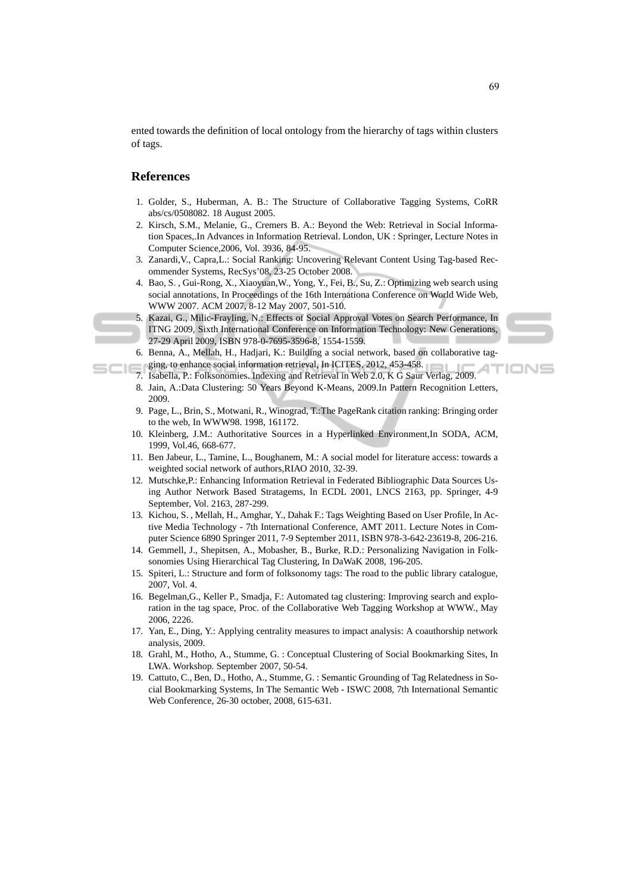ented towards the definition of local ontology from the hierarchy of tags within clusters of tags.

#### **References**

- 1. Golder, S., Huberman, A. B.: The Structure of Collaborative Tagging Systems, CoRR abs/cs/0508082. 18 August 2005.
- 2. Kirsch, S.M., Melanie, G., Cremers B. A.: Beyond the Web: Retrieval in Social Information Spaces,.In Advances in Information Retrieval. London, UK : Springer, Lecture Notes in Computer Science,2006, Vol. 3936, 84-95.
- 3. Zanardi,V., Capra,L.: Social Ranking: Uncovering Relevant Content Using Tag-based Recommender Systems, RecSys'08, 23-25 October 2008.
- 4. Bao, S. , Gui-Rong, X., Xiaoyuan,W., Yong, Y., Fei, B., Su, Z.: Optimizing web search using social annotations, In Proceedings of the 16th Internationa Conference on World Wide Web, WWW 2007. ACM 2007, 8-12 May 2007, 501-510.
- 5. Kazai, G., Milic-Frayling, N.: Effects of Social Approval Votes on Search Performance, In ITNG 2009, Sixth International Conference on Information Technology: New Generations, 27-29 April 2009, ISBN 978-0-7695-3596-8, 1554-1559.



'IONS

- 6. Benna, A., Mellah, H., Hadjari, K.: Building a social network, based on collaborative tagging, to enhance social information retrieval, In ICITES, 2012, 453-458.
- 7. Isabella, P.: Folksonomies. Indexing and Retrieval in Web 2.0, K G Saur Verlag, 2009.
- 8. Jain, A.:Data Clustering: 50 Years Beyond K-Means, 2009.In Pattern Recognition Letters, 2009.
- 9. Page, L., Brin, S., Motwani, R., Winograd, T.:The PageRank citation ranking: Bringing order to the web, In WWW98. 1998, 161172.
- 10. Kleinberg, J.M.: Authoritative Sources in a Hyperlinked Environment,In SODA, ACM, 1999, Vol.46, 668-677.
- 11. Ben Jabeur, L., Tamine, L., Boughanem, M.: A social model for literature access: towards a weighted social network of authors,RIAO 2010, 32-39.
- 12. Mutschke,P.: Enhancing Information Retrieval in Federated Bibliographic Data Sources Using Author Network Based Stratagems, In ECDL 2001, LNCS 2163, pp. Springer, 4-9 September, Vol. 2163, 287-299.
- 13. Kichou, S. , Mellah, H., Amghar, Y., Dahak F.: Tags Weighting Based on User Profile, In Active Media Technology - 7th International Conference, AMT 2011. Lecture Notes in Computer Science 6890 Springer 2011, 7-9 September 2011, ISBN 978-3-642-23619-8, 206-216.
- 14. Gemmell, J., Shepitsen, A., Mobasher, B., Burke, R.D.: Personalizing Navigation in Folksonomies Using Hierarchical Tag Clustering, In DaWaK 2008, 196-205.
- 15. Spiteri, L.: Structure and form of folksonomy tags: The road to the public library catalogue, 2007, Vol. 4.
- 16. Begelman,G., Keller P., Smadja, F.: Automated tag clustering: Improving search and exploration in the tag space, Proc. of the Collaborative Web Tagging Workshop at WWW., May 2006, 2226.
- 17. Yan, E., Ding, Y.: Applying centrality measures to impact analysis: A coauthorship network analysis, 2009.
- 18. Grahl, M., Hotho, A., Stumme, G. : Conceptual Clustering of Social Bookmarking Sites, In LWA. Workshop. September 2007, 50-54.
- 19. Cattuto, C., Ben, D., Hotho, A., Stumme, G. : Semantic Grounding of Tag Relatedness in Social Bookmarking Systems, In The Semantic Web - ISWC 2008, 7th International Semantic Web Conference, 26-30 october, 2008, 615-631.